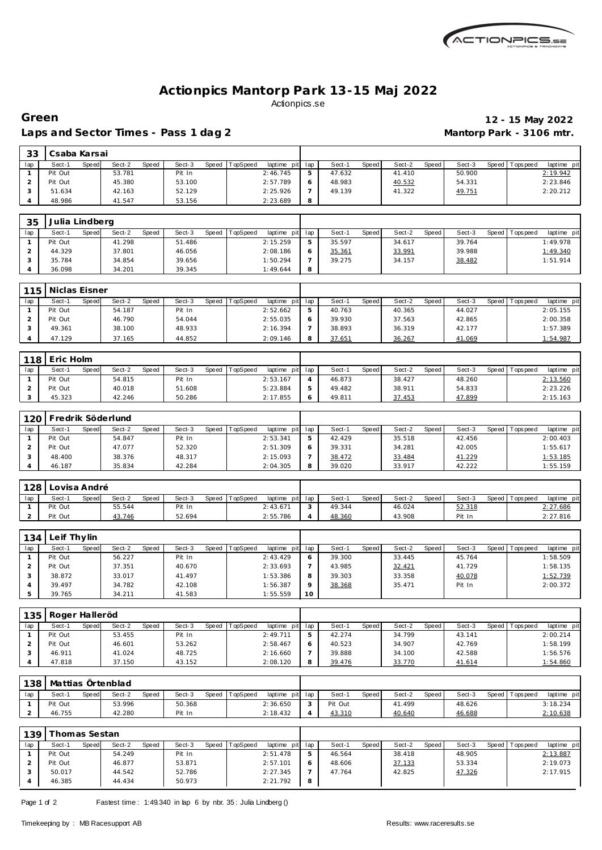

## **Actionpics Mantorp Park 13-15 Maj 2022** Actionpics.se

lap Sect-1 Speed Sect-2 Speed Sect-3 Speed TopSpeed laptime pit lap Sect-1 Speed Sect-2 Speed Sect-3 Speed Topspeed laptime pit

## Laps and Sector Times - Pass 1 dag 2 **Mantorp Park - 3106 mtr.**

 **Csaba Karsai**

## **Green 12 - 15 May 2022**

|                         | Pit Out                  |       | 53.781           |              | Pit In           |       |          | 2:46.745                       | 5              | 47.632            |       | 41.410           |              | 50.900           |       |                   | <u> 2: 19.942</u>          |
|-------------------------|--------------------------|-------|------------------|--------------|------------------|-------|----------|--------------------------------|----------------|-------------------|-------|------------------|--------------|------------------|-------|-------------------|----------------------------|
| $\overline{2}$          | Pit Out                  |       | 45.380           |              | 53.100           |       |          | 2:57.789                       | 6              | 48.983            |       | 40.532           |              | 54.331           |       |                   | 2:23.846                   |
| 3                       | 51.634                   |       | 42.163           |              | 52.129           |       |          | 2:25.926                       | $\overline{7}$ | 49.139            |       | 41.322           |              | 49.751           |       |                   | 2:20.212                   |
| 4                       | 48.986                   |       | 41.547           |              | 53.156           |       |          | 2:23.689                       | 8              |                   |       |                  |              |                  |       |                   |                            |
|                         |                          |       |                  |              |                  |       |          |                                |                |                   |       |                  |              |                  |       |                   |                            |
| 35                      | Julia Lindberg           |       |                  |              |                  |       |          |                                |                |                   |       |                  |              |                  |       |                   |                            |
|                         |                          |       |                  |              |                  |       |          |                                |                |                   |       |                  |              |                  |       |                   |                            |
| lap                     | Sect-1                   | Speed | Sect-2           | Speed        | Sect-3           | Speed | TopSpeed | laptime pit                    | lap            | Sect-1            | Speed | Sect-2           | Speed        | Sect-3           | Speed | Tops peed         | laptime pit                |
| 1                       | Pit Out                  |       | 41.298           |              | 51.486           |       |          | 2:15.259                       | $\mathbf 5$    | 35.597            |       | 34.617           |              | 39.764           |       |                   | 1:49.978                   |
| 2                       | 44.329                   |       | 37.801           |              | 46.056           |       |          | 2:08.186                       | 6              | 35.361            |       | 33.991           |              | 39.988           |       |                   | 1:49.340                   |
| 3                       | 35.784                   |       | 34.854           |              | 39.656           |       |          | 1:50.294                       | $\overline{7}$ | 39.275            |       | 34.157           |              | 38.482           |       |                   | 1:51.914                   |
| $\overline{4}$          | 36.098                   |       | 34.201           |              | 39.345           |       |          | 1:49.644                       | 8              |                   |       |                  |              |                  |       |                   |                            |
|                         |                          |       |                  |              |                  |       |          |                                |                |                   |       |                  |              |                  |       |                   |                            |
| 115                     | Niclas Eisner            |       |                  |              |                  |       |          |                                |                |                   |       |                  |              |                  |       |                   |                            |
| lap                     | Sect-1                   | Speed | Sect-2           | Speed        | Sect-3           | Speed | TopSpeed | laptime pit                    | lap            | Sect-1            | Speed | Sect-2           | Speed        | Sect-3           |       | Speed   Topspeed  | laptime pit                |
| $\mathbf{1}$            | Pit Out                  |       | 54.187           |              | Pit In           |       |          | 2:52.662                       | 5              | 40.763            |       | 40.365           |              | 44.027           |       |                   | 2:05.155                   |
| $\overline{\mathbf{c}}$ | Pit Out                  |       | 46.790           |              | 54.044           |       |          | 2:55.035                       | 6              | 39.930            |       | 37.563           |              | 42.865           |       |                   | 2:00.358                   |
| 3                       | 49.361                   |       | 38.100           |              | 48.933           |       |          | 2:16.394                       | $\overline{7}$ | 38.893            |       | 36.319           |              | 42.177           |       |                   | 1:57.389                   |
|                         |                          |       |                  |              |                  |       |          |                                | 8              |                   |       |                  |              |                  |       |                   |                            |
| 4                       | 47.129                   |       | 37.165           |              | 44.852           |       |          | 2:09.146                       |                | 37.651            |       | 36.267           |              | 41.069           |       |                   | 1:54.987                   |
| Eric Holm               |                          |       |                  |              |                  |       |          |                                |                |                   |       |                  |              |                  |       |                   |                            |
| 118                     |                          |       |                  |              |                  |       |          |                                |                |                   |       |                  |              |                  |       |                   |                            |
| lap                     | Sect-1                   | Speed | Sect-2           | Speed        | Sect-3           | Speed | TopSpeed | laptime pit                    | lap            | Sect-1            | Speed | Sect-2           | Speed        | Sect-3           | Speed | Tops peed         | laptime pit                |
| $\mathbf{1}$            | Pit Out                  |       | 54.815           |              | Pit In           |       |          | 2:53.167                       | $\overline{4}$ | 46.873            |       | 38.427           |              | 48.260           |       |                   | 2:13.560                   |
| $\overline{a}$          | Pit Out                  |       | 40.018           |              | 51.608           |       |          | 5:23.884                       | 5              | 49.482            |       | 38.911           |              | 54.833           |       |                   | 2:23.226                   |
| 3                       | 45.323                   |       | 42.246           |              | 50.286           |       |          | 2:17.855                       | 6              | 49.811            |       | 37.453           |              | 47.899           |       |                   | 2:15.163                   |
|                         |                          |       |                  |              |                  |       |          |                                |                |                   |       |                  |              |                  |       |                   |                            |
|                         | Fredrik Söderlund<br>120 |       |                  |              |                  |       |          |                                |                |                   |       |                  |              |                  |       |                   |                            |
| lap                     | Sect-1                   | Speed | Sect-2           | Speed        | Sect-3           | Speed | TopSpeed | laptime pit                    | lap            | Sect-1            | Speed | Sect-2           | Speed        | Sect-3           | Speed | Tops pee d        | laptime pit                |
| 1                       | Pit Out                  |       | 54.847           |              | Pit In           |       |          | 2:53.341                       | 5              | 42.429            |       | 35.518           |              | 42.456           |       |                   | 2:00.403                   |
| $\overline{c}$          | Pit Out                  |       | 47.077           |              | 52.320           |       |          | 2:51.309                       | 6              | 39.331            |       | 34.281           |              | 42.005           |       |                   | 1:55.617                   |
|                         |                          |       |                  |              |                  |       |          |                                |                |                   |       |                  |              |                  |       |                   |                            |
| 3                       | 48.400                   |       | 38.376           |              | 48.317           |       |          | 2:15.093                       | $\overline{7}$ | 38.472            |       | 33.484           |              | 41.229           |       |                   | 1:53.185                   |
| $\overline{4}$          | 46.187                   |       | 35.834           |              | 42.284           |       |          | 2:04.305                       | 8              | 39.020            |       | 33.917           |              | 42.222           |       |                   | 1:55.159                   |
|                         |                          |       |                  |              |                  |       |          |                                |                |                   |       |                  |              |                  |       |                   |                            |
| 128                     | Lovisa André             |       |                  |              |                  |       |          |                                |                |                   |       |                  |              |                  |       |                   |                            |
| lap                     | Sect-1                   | Speed | Sect-2           | Speed        | Sect-3           | Speed | TopSpeed | laptime pit                    | lap            | Sect-1            | Speed | Sect-2           | Speed        | Sect-3           |       | Speed   Tops peed | laptime pit                |
| 1                       | Pit Out                  |       | 55.544           |              | Pit In           |       |          | 2:43.671                       | 3              | 49.344            |       | 46.024           |              | 52.318           |       |                   | 2:27.686                   |
| $\overline{a}$          | Pit Out                  |       | 43.746           |              | 52.694           |       |          | 2:55.786                       | 4              | 48.360            |       | 43.908           |              | Pit In           |       |                   | 2:27.816                   |
|                         |                          |       |                  |              |                  |       |          |                                |                |                   |       |                  |              |                  |       |                   |                            |
| 134                     | Leif Thylin              |       |                  |              |                  |       |          |                                |                |                   |       |                  |              |                  |       |                   |                            |
|                         | Sect-1                   | Speed | Sect-2           | Speed        | Sect-3           | Speed |          |                                |                | Sect-1            |       | Sect-2           |              |                  | Speed |                   |                            |
| lap<br>$\mathbf{1}$     | Pit Out                  |       | 56.227           |              | Pit In           |       | TopSpeed | laptime pit<br>2:43.429        | lap            | 39.300            | Speed | 33.445           | Speed        | Sect-3<br>45.764 |       | Tops peed         | laptime pit<br>1:58.509    |
|                         |                          |       |                  |              |                  |       |          |                                | 6              |                   |       |                  |              |                  |       |                   |                            |
| 2                       | Pit Out                  |       | 37.351           |              | 40.670           |       |          | 2:33.693                       | $\overline{7}$ | 43.985            |       | 32.421           |              | 41.729           |       |                   | 1:58.135                   |
| 3                       | 38.872                   |       | 33.017           |              | 41.497           |       |          | 1:53.386                       | 8              | 39.303            |       | 33.358           |              | 40.078           |       |                   | 1:52.739                   |
| 4                       | 39.497                   |       | 34.782           |              | 42.108           |       |          | 1:56.387                       | 9              | 38.368            |       | 35.471           |              | Pit In           |       |                   | 2:00.372                   |
| 5                       | 39.765                   |       | 34.211           |              | 41.583           |       |          | 1:55.559                       | 10             |                   |       |                  |              |                  |       |                   |                            |
|                         |                          |       |                  |              |                  |       |          |                                |                |                   |       |                  |              |                  |       |                   |                            |
| 135                     | Roger Halleröd           |       |                  |              |                  |       |          |                                |                |                   |       |                  |              |                  |       |                   |                            |
| lap                     | Sect-1                   | Speed | Sect-2           | <b>Speed</b> | Sect-3           |       |          | Speed TopSpeed laptime pit lap |                | Sect-1            | Speed | Sect-2           | Speed        | Sect-3           |       |                   | Speed lopspeed laptime pit |
| $\mathbf{1}$            | Pit Out                  |       | 53.455           |              | Pit In           |       |          | 2:49.711                       | 5              | 42.274            |       | 34.799           |              | 43.141           |       |                   | 2:00.214                   |
| 2                       | Pit Out                  |       | 46.601           |              | 53.262           |       |          | 2:58.467                       | 6              | 40.523            |       | 34.907           |              | 42.769           |       |                   | 1:58.199                   |
| 3                       | 46.911                   |       | 41.024           |              | 48.725           |       |          | 2:16.660                       | $\overline{7}$ | 39.888            |       | 34.100           |              | 42.588           |       |                   | 1:56.576                   |
| 4                       | 47.818                   |       | 37.150           |              | 43.152           |       |          | 2:08.120                       | 8              | 39.476            |       | 33.770           |              | 41.614           |       |                   | 1:54.860                   |
|                         |                          |       |                  |              |                  |       |          |                                |                |                   |       |                  |              |                  |       |                   |                            |
|                         |                          |       |                  |              |                  |       |          |                                |                |                   |       |                  |              |                  |       |                   |                            |
|                         |                          |       |                  |              |                  |       |          |                                |                |                   |       |                  |              |                  |       |                   |                            |
| 138                     | Mattias Örtenblad        |       |                  |              |                  |       |          |                                |                |                   |       |                  |              |                  |       |                   |                            |
| lap<br>-1               | Sect-1<br>Pit Out        | Speed | Sect-2<br>53 996 | Speed        | Sect-3<br>50.368 | Speed | TopSpeed | laptime pit<br>2:36.650        | lap<br>3       | Sect-1<br>Pit Out | Speed | Sect-2<br>41.499 | <b>Speed</b> | Sect-3<br>48 626 |       | Speed Topspeed    | laptime pit<br>3:18.234    |

| 139 | Thomas Sestan |       |        |       |        |       |          |                 |    |        |       |        |       |        |                 |             |
|-----|---------------|-------|--------|-------|--------|-------|----------|-----------------|----|--------|-------|--------|-------|--------|-----------------|-------------|
| lap | Sect-1        | Speed | Sect-2 | Speed | Sect-3 | Speed | TopSpeed | laptime pit lap |    | Sect-1 | Speed | Sect-2 | Speed | Sect-3 | Speed Tops peed | laptime pit |
|     | Pit Out       |       | 54.249 |       | Pit In |       |          | 2:51.478        | .5 | 46.564 |       | 38.418 |       | 48.905 |                 | 2:13.887    |
|     | Pit Out       |       | 46.877 |       | 53.871 |       |          | 2:57.101        |    | 48.606 |       | 37.133 |       | 53.334 |                 | 2:19.073    |
|     | 50.017        |       | 44.542 |       | 52.786 |       |          | 2:27.345        |    | 47.764 |       | 42.825 |       | 47.326 |                 | 2:17.915    |
|     | 46.385        |       | 44.434 |       | 50.973 |       |          | 2:21.792        | 8  |        |       |        |       |        |                 |             |

Page 1 of 2 Fastest time: 1:49.340 in lap 6 by nbr. 35: Julia Lindberg ()

Pit Out 53.996 50.368 2:36.650 46.755 42.280 Pit In 2:18.432

 Pit Out 41.499 48.626 3:18.234 4 43.310 40.640 46.688 2:10.638